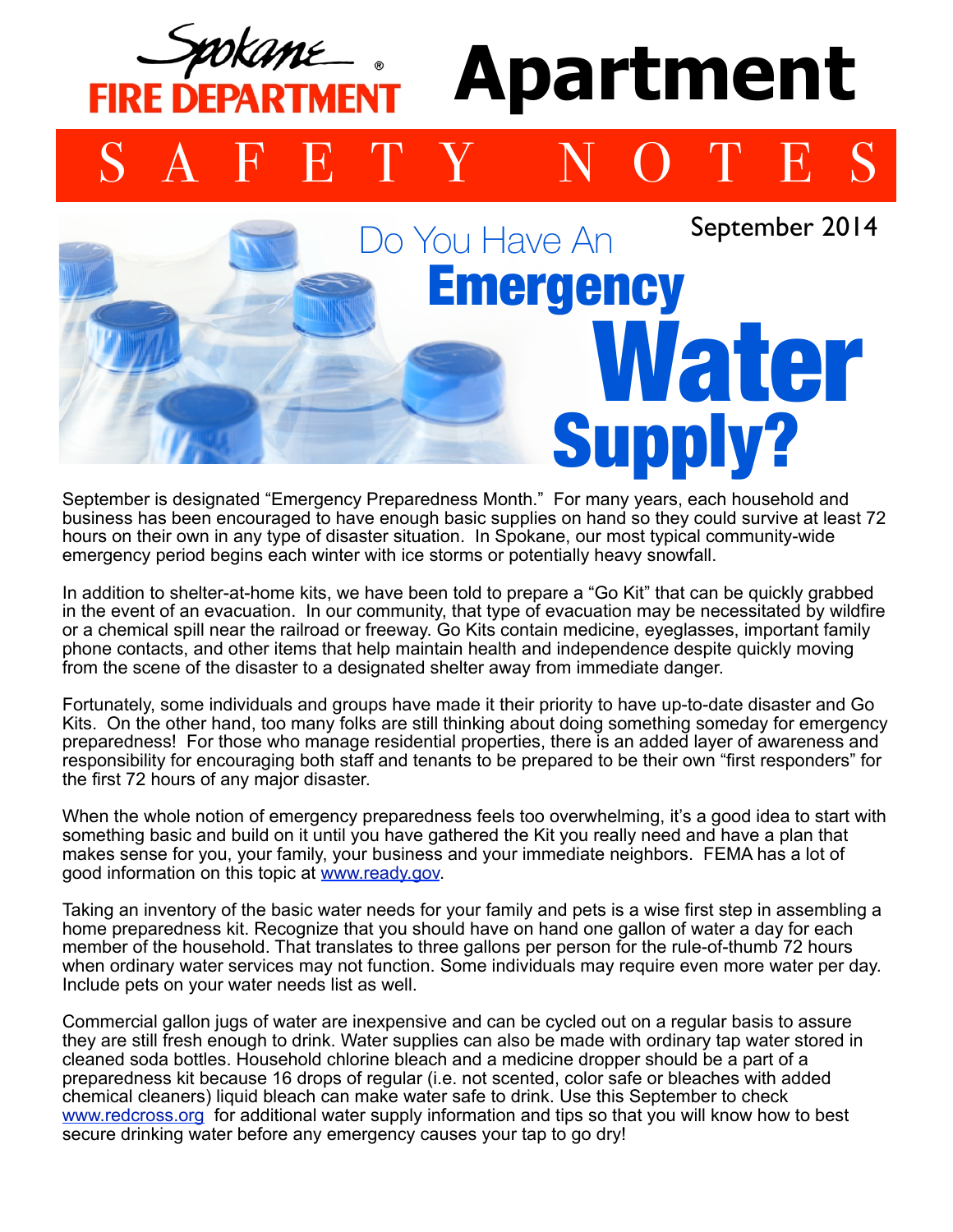## **Apartment**  FIRE DEPART SAFETY NOTES Do You Have An September 2014

**Emergency** 

Water

Supply?

September is designated "Emergency Preparedness Month." For many years, each household and business has been encouraged to have enough basic supplies on hand so they could survive at least 72 hours on their own in any type of disaster situation. In Spokane, our most typical community-wide emergency period begins each winter with ice storms or potentially heavy snowfall.

In addition to shelter-at-home kits, we have been told to prepare a "Go Kit" that can be quickly grabbed in the event of an evacuation. In our community, that type of evacuation may be necessitated by wildfire or a chemical spill near the railroad or freeway. Go Kits contain medicine, eyeglasses, important family phone contacts, and other items that help maintain health and independence despite quickly moving from the scene of the disaster to a designated shelter away from immediate danger.

Fortunately, some individuals and groups have made it their priority to have up-to-date disaster and Go Kits. On the other hand, too many folks are still thinking about doing something someday for emergency preparedness! For those who manage residential properties, there is an added layer of awareness and responsibility for encouraging both staff and tenants to be prepared to be their own "first responders" for the first 72 hours of any major disaster.

When the whole notion of emergency preparedness feels too overwhelming, it's a good idea to start with something basic and build on it until you have gathered the Kit you really need and have a plan that makes sense for you, your family, your business and your immediate neighbors. FEMA has a lot of good information on this topic at [www.ready.gov.](http://www.ready.gov)

Taking an inventory of the basic water needs for your family and pets is a wise first step in assembling a home preparedness kit. Recognize that you should have on hand one gallon of water a day for each member of the household. That translates to three gallons per person for the rule-of-thumb 72 hours when ordinary water services may not function. Some individuals may require even more water per day. Include pets on your water needs list as well.

Commercial gallon jugs of water are inexpensive and can be cycled out on a regular basis to assure they are still fresh enough to drink. Water supplies can also be made with ordinary tap water stored in cleaned soda bottles. Household chlorine bleach and a medicine dropper should be a part of a preparedness kit because 16 drops of regular (i.e. not scented, color safe or bleaches with added chemical cleaners) liquid bleach can make water safe to drink. Use this September to check [www.redcross.org](http://www.redcross.org) for additional water supply information and tips so that you will know how to best secure drinking water before any emergency causes your tap to go dry!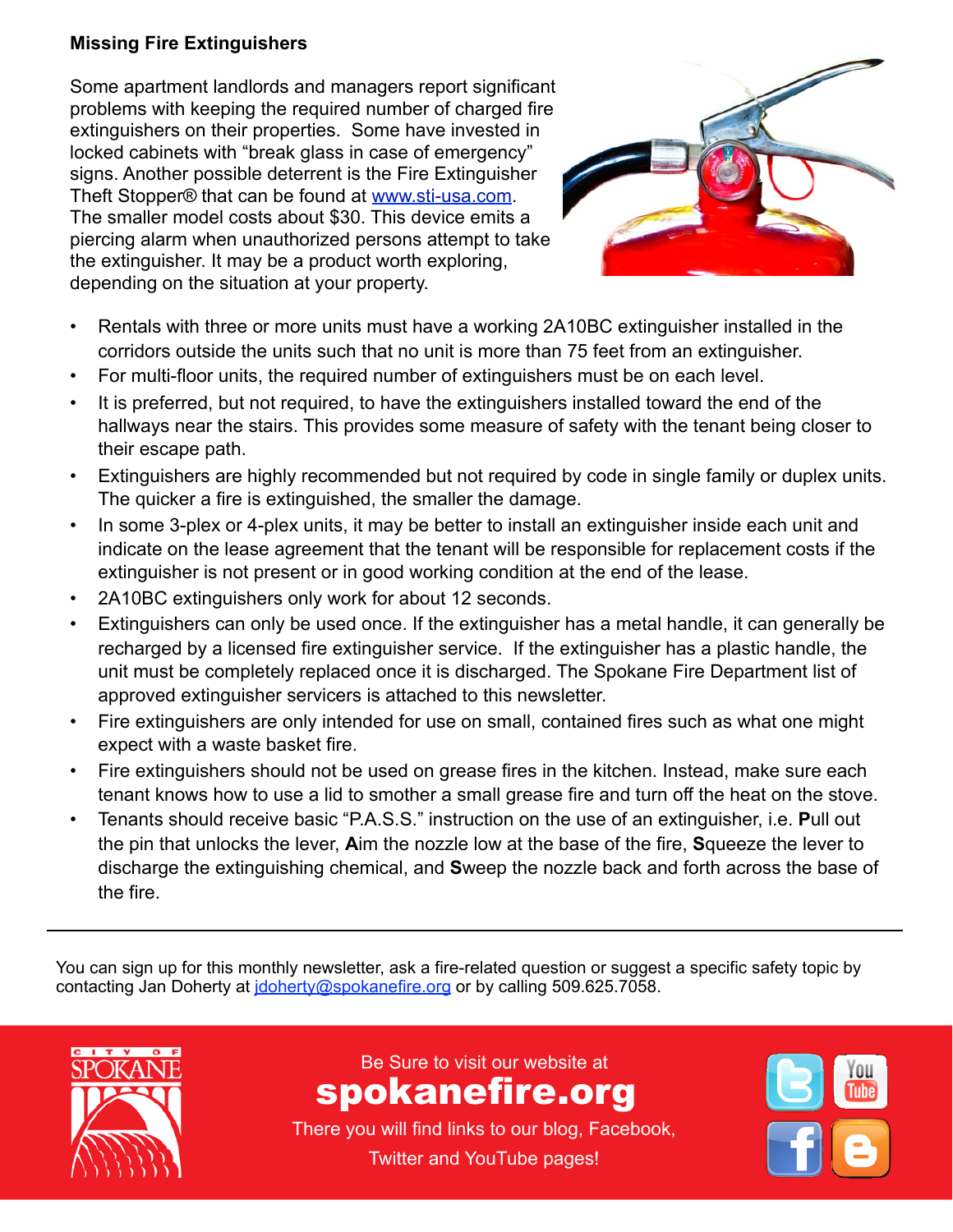## **Missing Fire Extinguishers**

Some apartment landlords and managers report significant problems with keeping the required number of charged fire extinguishers on their properties. Some have invested in locked cabinets with "break glass in case of emergency" signs. Another possible deterrent is the Fire Extinguisher Theft Stopper® that can be found at [www.sti-usa.com.](http://www.sti-usa.com) The smaller model costs about \$30. This device emits a piercing alarm when unauthorized persons attempt to take the extinguisher. It may be a product worth exploring, depending on the situation at your property.



- Rentals with three or more units must have a working 2A10BC extinguisher installed in the corridors outside the units such that no unit is more than 75 feet from an extinguisher.
- For multi-floor units, the required number of extinguishers must be on each level.
- It is preferred, but not required, to have the extinguishers installed toward the end of the his provides some measure of safety with his provides some measure of safety with the tenant being closer to *show that:* hallways near the stairs. This provides some measure of safety with the tenant being closer to their escape path.
- termanded but not required by eade in oingle youning naca but not required by couchinging The quicker a fire is extinguished, the smaller the damage. *•Unattended cooking is the single leading factor contributing*  • Extinguishers are highly recommended but not required by code in single family or duplex units.
- In some 3-plex or 4-plex units, it may be better to install an extinguisher inside each unit and **decay** and the tenant will be responsible for replacement costs if the *core in* and the  $\alpha$  in a solution cooking-relation of the small of the late extinguisher is not present or in good working condition at the end of the lease. *the amount of cooking they do.* indicate on the lease agreement that the tenant will be responsible for replacement costs if the *•More than 50% of home*
- 2A10BC extinguishers only work for about 12 seconds.
- used once. If the extinguisher has a metal han recharged by a licensed fire extinguisher service. If the extinguisher has a plastic handle, the  $\sigma$  oximgenonts corrico. If the oximigenonts  $\sigma$ placed once it is discharged. The Spokane Fire Department list of approved extinguisher servicers is attached to this newsletter. *people try to fight the fire*  • Extinguishers can only be used once. If the extinguisher has a metal handle, it can generally be *charcoal grills, they are involved*  unit must be completely replaced once it is discharged. The Spokane Fire Department list of
- $s_{\text{c}}$  is a cook leaves the coordination. • Fire extinguishers are only intended for use on small, contained fires such as what one might On a related note, Spokane Fire Department Prevention expect with a waste basket fire.
- Fire extinguishers should not be used on grease fires in the kitchen. Instead, make sure each  $\overline{\mathbf{S}}$ -Tid to emether a emall areaea fire and turn of tenant knows how to use a lid to smother a small grease fire and turn off the heat on the stove.
- Tenants should receive basic "P.A.S.S." instruction on the use of an extinguisher, i.e. Pull out pot of water was slightly scorched after several hours, but was the pin that unlocks the lever, **A**im the nozzle low at the base of the fire, **S**queeze the lever to discharge the extinguishing chemical, and Sweep the nozzle back and forth across the base of because it allows more even warming at a lower temperature. It the fire.

 $\mathcal{L}_{\mathcal{A}}$  or  $\mathcal{L}_{\mathcal{A}}$  or  $\mathcal{L}_{\mathcal{A}}$  or  $\mathcal{L}_{\mathcal{A}}$  or  $\mathcal{L}_{\mathcal{A}}$  or  $\mathcal{L}_{\mathcal{A}}$  or  $\mathcal{L}_{\mathcal{A}}$  or  $\mathcal{L}_{\mathcal{A}}$  or  $\mathcal{L}_{\mathcal{A}}$  or  $\mathcal{L}_{\mathcal{A}}$  or  $\mathcal{L}_{\mathcal{A}}$ 

You can sign up for this monthly newsletter, ask a fire-related question or suggest a specific safety topic by rod can eighteptor and monarity homelotter, able a mo-related queedent or eagget



Be Sure to visit our website at  $\overline{\phantom{a}}$ www.spokanefire.org spokanefire.org

There you will find links to our blog, There you will find links to our blog, Facebook, Twitter and YouTube pages!